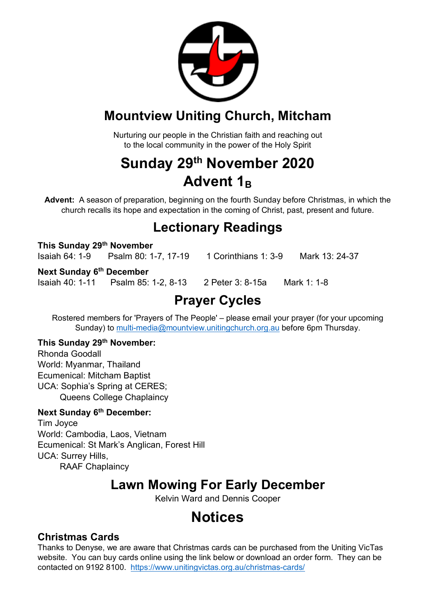

### **Mountview Uniting Church, Mitcham**

Nurturing our people in the Christian faith and reaching out to the local community in the power of the Holy Spirit

## **Sunday 29th November 2020 Advent 1B**

**Advent:** A season of preparation, beginning on the fourth Sunday before Christmas, in which the church recalls its hope and expectation in the coming of Christ, past, present and future.

### **Lectionary Readings**

**This Sunday 29th November** Isaiah 64: 1-9 Psalm 80: 1-7, 17-19 1 Corinthians 1: 3-9 Mark 13: 24-37

#### **Next Sunday 6th December**

Isaiah 40: 1-11 Psalm 85: 1-2, 8-13 2 Peter 3: 8-15a Mark 1: 1-8

## **Prayer Cycles**

Rostered members for 'Prayers of The People' – please email your prayer (for your upcoming Sunday) to multi-media@mountview.unitingchurch.org.au before 6pm Thursday.

### **This Sunday 29th November:**

Rhonda Goodall World: Myanmar, Thailand Ecumenical: Mitcham Baptist UCA: Sophia's Spring at CERES; Queens College Chaplaincy

#### **Next Sunday 6th December:**

Tim Joyce World: Cambodia, Laos, Vietnam Ecumenical: St Mark's Anglican, Forest Hill UCA: Surrey Hills, RAAF Chaplaincy

### **Lawn Mowing For Early December**

Kelvin Ward and Dennis Cooper

## **Notices**

### **Christmas Cards**

Thanks to Denyse, we are aware that Christmas cards can be purchased from the Uniting VicTas website. You can buy cards online using the link below or download an order form. They can be contacted on 9192 8100. https://www.unitingvictas.org.au/christmas-cards/